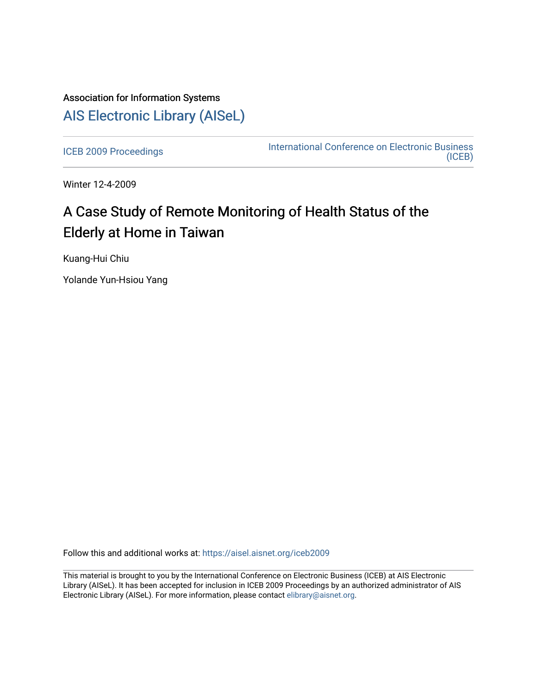## Association for Information Systems [AIS Electronic Library \(AISeL\)](https://aisel.aisnet.org/)

[ICEB 2009 Proceedings](https://aisel.aisnet.org/iceb2009) **International Conference on Electronic Business** [\(ICEB\)](https://aisel.aisnet.org/iceb) 

Winter 12-4-2009

# A Case Study of Remote Monitoring of Health Status of the Elderly at Home in Taiwan

Kuang-Hui Chiu

Yolande Yun-Hsiou Yang

Follow this and additional works at: [https://aisel.aisnet.org/iceb2009](https://aisel.aisnet.org/iceb2009?utm_source=aisel.aisnet.org%2Ficeb2009%2F68&utm_medium=PDF&utm_campaign=PDFCoverPages)

This material is brought to you by the International Conference on Electronic Business (ICEB) at AIS Electronic Library (AISeL). It has been accepted for inclusion in ICEB 2009 Proceedings by an authorized administrator of AIS Electronic Library (AISeL). For more information, please contact [elibrary@aisnet.org.](mailto:elibrary@aisnet.org%3E)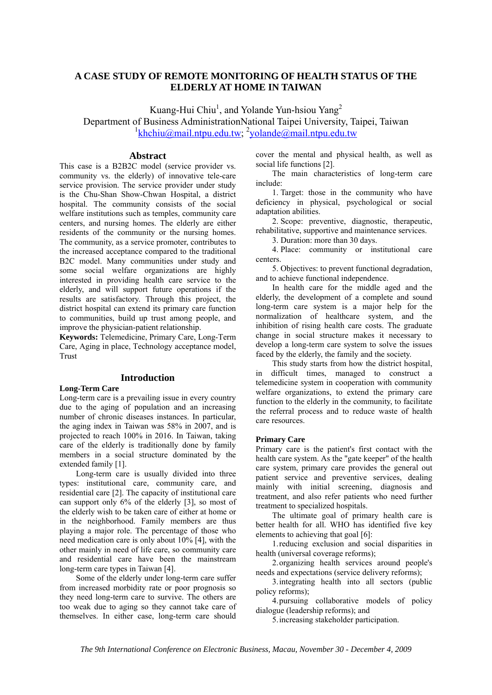## **A CASE STUDY OF REMOTE MONITORING OF HEALTH STATUS OF THE ELDERLY AT HOME IN TAIWAN**

Kuang-Hui Chiu<sup>1</sup>, and Yolande Yun-hsiou Yang<sup>2</sup>

Department of Business AdministrationNational Taipei University, Taipei, Taiwan <sup>1</sup>khchiu@mail.ntpu.edu.tw; <sup>2</sup>yolande@mail.ntpu.edu.tw

## **Abstract**

This case is a B2B2C model (service provider vs. community vs. the elderly) of innovative tele-care service provision. The service provider under study is the Chu-Shan Show-Chwan Hospital, a district hospital. The community consists of the social welfare institutions such as temples, community care centers, and nursing homes. The elderly are either residents of the community or the nursing homes. The community, as a service promoter, contributes to the increased acceptance compared to the traditional B2C model. Many communities under study and some social welfare organizations are highly interested in providing health care service to the elderly, and will support future operations if the results are satisfactory. Through this project, the district hospital can extend its primary care function to communities, build up trust among people, and improve the physician-patient relationship.

**Keywords:** Telemedicine, Primary Care, Long-Term Care, Aging in place, Technology acceptance model, Trust

## **Introduction**

**Long-Term Care**  Long-term care is a prevailing issue in every country due to the aging of population and an increasing number of chronic diseases instances. In particular, the aging index in Taiwan was 58% in 2007, and is projected to reach 100% in 2016. In Taiwan, taking care of the elderly is traditionally done by family members in a social structure dominated by the extended family [1].

Long-term care is usually divided into three types: institutional care, community care, and residential care [2]. The capacity of institutional care can support only 6% of the elderly [3], so most of the elderly wish to be taken care of either at home or in the neighborhood. Family members are thus playing a major role. The percentage of those who need medication care is only about 10% [4], with the other mainly in need of life care, so community care and residential care have been the mainstream long-term care types in Taiwan [4].

Some of the elderly under long-term care suffer from increased morbidity rate or poor prognosis so they need long-term care to survive. The others are too weak due to aging so they cannot take care of themselves. In either case, long-term care should

cover the mental and physical health, as well as social life functions [2].

The main characteristics of long-term care include:

1. Target: those in the community who have deficiency in physical, psychological or social adaptation abilities.

2. Scope: preventive, diagnostic, therapeutic, rehabilitative, supportive and maintenance services.

3. Duration: more than 30 days.

4. Place: community or institutional care centers.

5. Objectives: to prevent functional degradation, and to achieve functional independence.

In health care for the middle aged and the elderly, the development of a complete and sound long-term care system is a major help for the normalization of healthcare system, and the inhibition of rising health care costs. The graduate change in social structure makes it necessary to develop a long-term care system to solve the issues faced by the elderly, the family and the society.

This study starts from how the district hospital, in difficult times, managed to construct a telemedicine system in cooperation with community welfare organizations, to extend the primary care function to the elderly in the community, to facilitate the referral process and to reduce waste of health care resources.

#### **Primary Care**

Primary care is the patient's first contact with the health care system. As the "gate keeper" of the health care system, primary care provides the general out patient service and preventive services, dealing mainly with initial screening, diagnosis and treatment, and also refer patients who need further treatment to specialized hospitals.

The ultimate goal of primary health care is better health for all. WHO has identified five key elements to achieving that goal [6]:

1. reducing exclusion and social disparities in health (universal coverage reforms);

2. organizing health services around people's needs and expectations (service delivery reforms);

3. integrating health into all sectors (public policy reforms);

4. pursuing collaborative models of policy dialogue (leadership reforms); and

5. increasing stakeholder participation.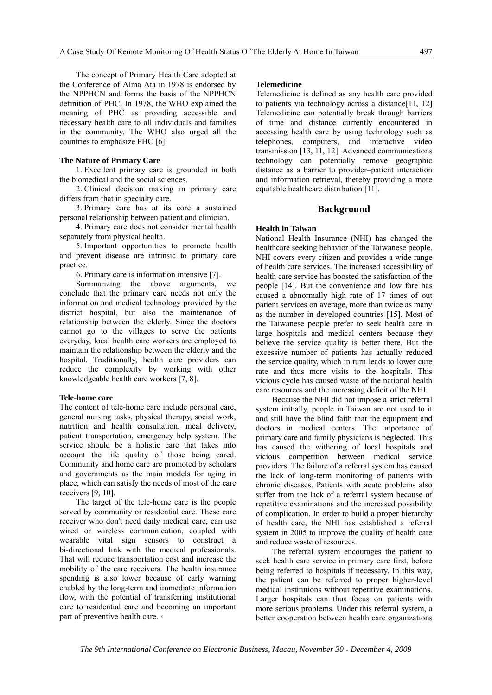The concept of Primary Health Care adopted at the Conference of Alma Ata in 1978 is endorsed by the NPPHCN and forms the basis of the NPPHCN definition of PHC. In 1978, the WHO explained the meaning of PHC as providing accessible and necessary health care to all individuals and families in the community. The WHO also urged all the countries to emphasize PHC [6].

#### **The Nature of Primary Care**

1. Excellent primary care is grounded in both the biomedical and the social sciences.

2. Clinical decision making in primary care differs from that in specialty care.

3. Primary care has at its core a sustained personal relationship between patient and clinician.

4. Primary care does not consider mental health separately from physical health.

5. Important opportunities to promote health and prevent disease are intrinsic to primary care practice.

6. Primary care is information intensive [7].

Summarizing the above arguments, we conclude that the primary care needs not only the information and medical technology provided by the district hospital, but also the maintenance of relationship between the elderly. Since the doctors cannot go to the villages to serve the patients everyday, local health care workers are employed to maintain the relationship between the elderly and the hospital. Traditionally, health care providers can reduce the complexity by working with other knowledgeable health care workers [7, 8].

#### **Tele-home care**

The content of tele-home care include personal care, general nursing tasks, physical therapy, social work, nutrition and health consultation, meal delivery, patient transportation, emergency help system. The service should be a holistic care that takes into account the life quality of those being cared. Community and home care are promoted by scholars and governments as the main models for aging in place, which can satisfy the needs of most of the care receivers [9, 10].

The target of the tele-home care is the people served by community or residential care. These care receiver who don't need daily medical care, can use wired or wireless communication, coupled with wearable vital sign sensors to construct a bi-directional link with the medical professionals. That will reduce transportation cost and increase the mobility of the care receivers. The health insurance spending is also lower because of early warning enabled by the long-term and immediate information flow, with the potential of transferring institutional care to residential care and becoming an important part of preventive health care.。

## **Telemedicine**

Telemedicine is defined as any health care provided to patients via technology across a distance[11, 12] Telemedicine can potentially break through barriers of time and distance currently encountered in accessing health care by using technology such as telephones, computers, and interactive video transmission [13, 11, 12]. Advanced communications technology can potentially remove geographic distance as a barrier to provider–patient interaction and information retrieval, thereby providing a more equitable healthcare distribution [11].

#### **Background**

#### **Health in Taiwan**

National Health Insurance (NHI) has changed the healthcare seeking behavior of the Taiwanese people. NHI covers every citizen and provides a wide range of health care services. The increased accessibility of health care service has boosted the satisfaction of the people [14]. But the convenience and low fare has caused a abnormally high rate of 17 times of out patient services on average, more than twice as many as the number in developed countries [15]. Most of the Taiwanese people prefer to seek health care in large hospitals and medical centers because they believe the service quality is better there. But the excessive number of patients has actually reduced the service quality, which in turn leads to lower cure rate and thus more visits to the hospitals. This vicious cycle has caused waste of the national health care resources and the increasing deficit of the NHI.

Because the NHI did not impose a strict referral system initially, people in Taiwan are not used to it and still have the blind faith that the equipment and doctors in medical centers. The importance of primary care and family physicians is neglected. This has caused the withering of local hospitals and vicious competition between medical service providers. The failure of a referral system has caused the lack of long-term monitoring of patients with chronic diseases. Patients with acute problems also suffer from the lack of a referral system because of repetitive examinations and the increased possibility of complication. In order to build a proper hierarchy of health care, the NHI has established a referral system in 2005 to improve the quality of health care and reduce waste of resources.

The referral system encourages the patient to seek health care service in primary care first, before being referred to hospitals if necessary. In this way, the patient can be referred to proper higher-level medical institutions without repetitive examinations. Larger hospitals can thus focus on patients with more serious problems. Under this referral system, a better cooperation between health care organizations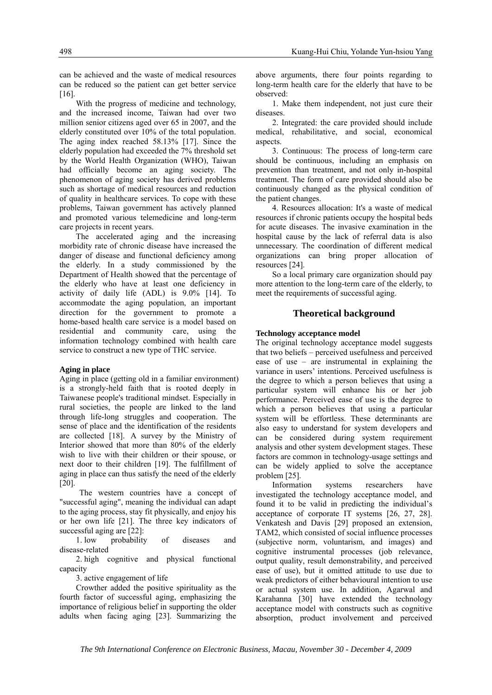can be achieved and the waste of medical resources can be reduced so the patient can get better service [16].

With the progress of medicine and technology, and the increased income, Taiwan had over two million senior citizens aged over 65 in 2007, and the elderly constituted over 10% of the total population. The aging index reached 58.13% [17]. Since the elderly population had exceeded the 7% threshold set by the World Health Organization (WHO), Taiwan had officially become an aging society. The phenomenon of aging society has derived problems such as shortage of medical resources and reduction of quality in healthcare services. To cope with these problems, Taiwan government has actively planned and promoted various telemedicine and long-term care projects in recent years.

The accelerated aging and the increasing morbidity rate of chronic disease have increased the danger of disease and functional deficiency among the elderly. In a study commissioned by the Department of Health showed that the percentage of the elderly who have at least one deficiency in activity of daily life (ADL) is 9.0% [14]. To accommodate the aging population, an important direction for the government to promote a home-based health care service is a model based on residential and community care, using the information technology combined with health care service to construct a new type of THC service.

#### **Aging in place**

Aging in place (getting old in a familiar environment) is a strongly-held faith that is rooted deeply in Taiwanese people's traditional mindset. Especially in rural societies, the people are linked to the land through life-long struggles and cooperation. The sense of place and the identification of the residents are collected [18]. A survey by the Ministry of Interior showed that more than 80% of the elderly wish to live with their children or their spouse, or next door to their children [19]. The fulfillment of aging in place can thus satisfy the need of the elderly [20].

The western countries have a concept of "successful aging", meaning the individual can adapt to the aging process, stay fit physically, and enjoy his or her own life [21]. The three key indicators of successful aging are [22]:

1. low probability of diseases and disease-related

2. high cognitive and physical functional capacity

3. active engagement of life

Crowther added the positive spirituality as the fourth factor of successful aging, emphasizing the importance of religious belief in supporting the older adults when facing aging [23]. Summarizing the

above arguments, there four points regarding to long-term health care for the elderly that have to be observed:

1. Make them independent, not just cure their diseases.

2. Integrated: the care provided should include medical, rehabilitative, and social, economical aspects.

3. Continuous: The process of long-term care should be continuous, including an emphasis on prevention than treatment, and not only in-hospital treatment. The form of care provided should also be continuously changed as the physical condition of the patient changes.

4. Resources allocation: It's a waste of medical resources if chronic patients occupy the hospital beds for acute diseases. The invasive examination in the hospital cause by the lack of referral data is also unnecessary. The coordination of different medical organizations can bring proper allocation of resources [24].

So a local primary care organization should pay more attention to the long-term care of the elderly, to meet the requirements of successful aging.

## **Theoretical background**

#### **Technology acceptance model**

The original technology acceptance model suggests that two beliefs – perceived usefulness and perceived ease of use – are instrumental in explaining the variance in users' intentions. Perceived usefulness is the degree to which a person believes that using a particular system will enhance his or her job performance. Perceived ease of use is the degree to which a person believes that using a particular system will be effortless. These determinants are also easy to understand for system developers and can be considered during system requirement analysis and other system development stages. These factors are common in technology-usage settings and can be widely applied to solve the acceptance problem [25].

Information systems researchers have investigated the technology acceptance model, and found it to be valid in predicting the individual's acceptance of corporate IT systems [26, 27, 28]. Venkatesh and Davis [29] proposed an extension, TAM2, which consisted of social influence processes (subjective norm, voluntarism, and images) and cognitive instrumental processes (job relevance, output quality, result demonstrability, and perceived ease of use), but it omitted attitude to use due to weak predictors of either behavioural intention to use or actual system use. In addition, Agarwal and Karahanna [30] have extended the technology acceptance model with constructs such as cognitive absorption, product involvement and perceived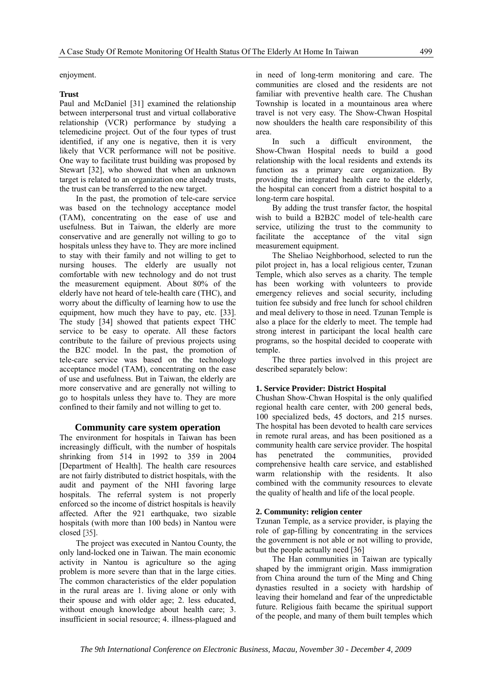enjoyment.

#### **Trust**

Paul and McDaniel [31] examined the relationship between interpersonal trust and virtual collaborative relationship (VCR) performance by studying a telemedicine project. Out of the four types of trust identified, if any one is negative, then it is very likely that VCR performance will not be positive. One way to facilitate trust building was proposed by Stewart [32], who showed that when an unknown target is related to an organization one already trusts, the trust can be transferred to the new target.

In the past, the promotion of tele-care service was based on the technology acceptance model (TAM), concentrating on the ease of use and usefulness. But in Taiwan, the elderly are more conservative and are generally not willing to go to hospitals unless they have to. They are more inclined to stay with their family and not willing to get to nursing houses. The elderly are usually not comfortable with new technology and do not trust the measurement equipment. About 80% of the elderly have not heard of tele-health care (THC), and worry about the difficulty of learning how to use the equipment, how much they have to pay, etc. [33]. The study [34] showed that patients expect THC service to be easy to operate. All these factors contribute to the failure of previous projects using the B2C model. In the past, the promotion of tele-care service was based on the technology acceptance model (TAM), concentrating on the ease of use and usefulness. But in Taiwan, the elderly are more conservative and are generally not willing to go to hospitals unless they have to. They are more confined to their family and not willing to get to.

#### **Community care system operation**

The environment for hospitals in Taiwan has been increasingly difficult, with the number of hospitals shrinking from 514 in 1992 to 359 in 2004 [Department of Health]. The health care resources are not fairly distributed to district hospitals, with the audit and payment of the NHI favoring large hospitals. The referral system is not properly enforced so the income of district hospitals is heavily affected. After the 921 earthquake, two sizable hospitals (with more than 100 beds) in Nantou were closed [35].

The project was executed in Nantou County, the only land-locked one in Taiwan. The main economic activity in Nantou is agriculture so the aging problem is more severe than that in the large cities. The common characteristics of the elder population in the rural areas are 1. living alone or only with their spouse and with older age; 2. less educated, without enough knowledge about health care; 3. insufficient in social resource; 4. illness-plagued and in need of long-term monitoring and care. The communities are closed and the residents are not familiar with preventive health care. The Chushan Township is located in a mountainous area where travel is not very easy. The Show-Chwan Hospital now shoulders the health care responsibility of this area.

In such a difficult environment, the Show-Chwan Hospital needs to build a good relationship with the local residents and extends its function as a primary care organization. By providing the integrated health care to the elderly, the hospital can concert from a district hospital to a long-term care hospital.

By adding the trust transfer factor, the hospital wish to build a B2B2C model of tele-health care service, utilizing the trust to the community to facilitate the acceptance of the vital sign measurement equipment.

The Sheliao Neighborhood, selected to run the pilot project in, has a local religious center, Tzunan Temple, which also serves as a charity. The temple has been working with volunteers to provide emergency relieves and social security, including tuition fee subsidy and free lunch for school children and meal delivery to those in need. Tzunan Temple is also a place for the elderly to meet. The temple had strong interest in participant the local health care programs, so the hospital decided to cooperate with temple.

The three parties involved in this project are described separately below:

#### **1. Service Provider: District Hospital**

Chushan Show-Chwan Hospital is the only qualified regional health care center, with 200 general beds, 100 specialized beds, 45 doctors, and 215 nurses. The hospital has been devoted to health care services in remote rural areas, and has been positioned as a community health care service provider. The hospital has penetrated the communities, provided comprehensive health care service, and established warm relationship with the residents. It also combined with the community resources to elevate the quality of health and life of the local people.

#### **2. Community: religion center**

Tzunan Temple, as a service provider, is playing the role of gap-filling by concentrating in the services the government is not able or not willing to provide, but the people actually need [36]

The Han communities in Taiwan are typically shaped by the immigrant origin. Mass immigration from China around the turn of the Ming and Ching dynasties resulted in a society with hardship of leaving their homeland and fear of the unpredictable future. Religious faith became the spiritual support of the people, and many of them built temples which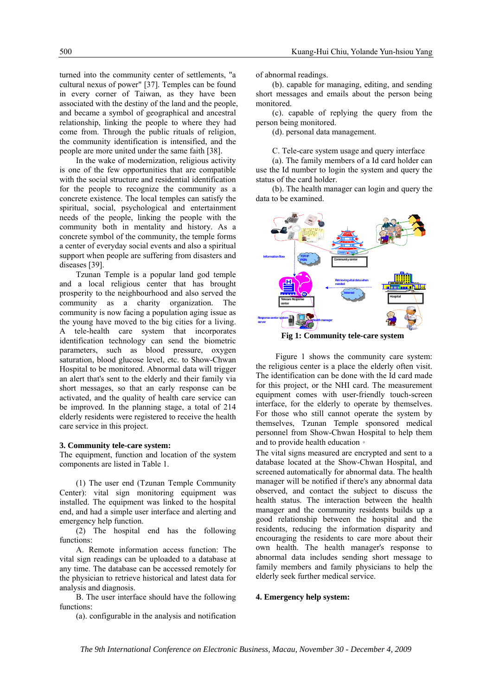turned into the community center of settlements, "a cultural nexus of power" [37]. Temples can be found in every corner of Taiwan, as they have been associated with the destiny of the land and the people, and became a symbol of geographical and ancestral relationship, linking the people to where they had come from. Through the public rituals of religion, the community identification is intensified, and the people are more united under the same faith [38].

In the wake of modernization, religious activity is one of the few opportunities that are compatible with the social structure and residential identification for the people to recognize the community as a concrete existence. The local temples can satisfy the spiritual, social, psychological and entertainment needs of the people, linking the people with the community both in mentality and history. As a concrete symbol of the community, the temple forms a center of everyday social events and also a spiritual support when people are suffering from disasters and diseases [39].

Tzunan Temple is a popular land god temple and a local religious center that has brought prosperity to the neighbourhood and also served the community as a charity organization. The community is now facing a population aging issue as the young have moved to the big cities for a living. A tele-health care system that incorporates identification technology can send the biometric parameters, such as blood pressure, oxygen saturation, blood glucose level, etc. to Show-Chwan Hospital to be monitored. Abnormal data will trigger an alert that's sent to the elderly and their family via short messages, so that an early response can be activated, and the quality of health care service can be improved. In the planning stage, a total of 214 elderly residents were registered to receive the health care service in this project.

#### **3. Community tele-care system:**

The equipment, function and location of the system components are listed in Table 1.

(1) The user end (Tzunan Temple Community Center): vital sign monitoring equipment was installed. The equipment was linked to the hospital end, and had a simple user interface and alerting and emergency help function.

(2) The hospital end has the following functions:

A. Remote information access function: The vital sign readings can be uploaded to a database at any time. The database can be accessed remotely for the physician to retrieve historical and latest data for analysis and diagnosis.

B. The user interface should have the following functions:

(a). configurable in the analysis and notification

of abnormal readings.

(b). capable for managing, editing, and sending short messages and emails about the person being monitored.

(c). capable of replying the query from the person being monitored.

(d). personal data management.

C. Tele-care system usage and query interface

(a). The family members of a Id card holder can use the Id number to login the system and query the status of the card holder.

(b). The health manager can login and query the data to be examined.



**Fig 1: Community tele-care system** 

Figure 1 shows the community care system: the religious center is a place the elderly often visit. The identification can be done with the Id card made for this project, or the NHI card. The measurement equipment comes with user-friendly touch-screen interface, for the elderly to operate by themselves. For those who still cannot operate the system by themselves, Tzunan Temple sponsored medical personnel from Show-Chwan Hospital to help them and to provide health education。

The vital signs measured are encrypted and sent to a database located at the Show-Chwan Hospital, and screened automatically for abnormal data. The health manager will be notified if there's any abnormal data observed, and contact the subject to discuss the health status. The interaction between the health manager and the community residents builds up a good relationship between the hospital and the residents, reducing the information disparity and encouraging the residents to care more about their own health. The health manager's response to abnormal data includes sending short message to family members and family physicians to help the elderly seek further medical service.

#### **4. Emergency help system:**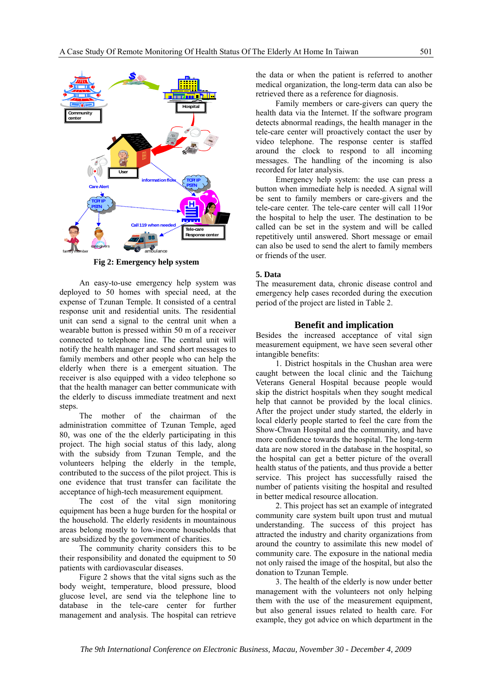

**Fig 2: Emergency help system** 

An easy-to-use emergency help system was deployed to 50 homes with special need, at the expense of Tzunan Temple. It consisted of a central response unit and residential units. The residential unit can send a signal to the central unit when a wearable button is pressed within 50 m of a receiver connected to telephone line. The central unit will notify the health manager and send short messages to family members and other people who can help the elderly when there is a emergent situation. The receiver is also equipped with a video telephone so that the health manager can better communicate with the elderly to discuss immediate treatment and next steps.

The mother of the chairman of the administration committee of Tzunan Temple, aged 80, was one of the the elderly participating in this project. The high social status of this lady, along with the subsidy from Tzunan Temple, and the volunteers helping the elderly in the temple, contributed to the success of the pilot project. This is one evidence that trust transfer can facilitate the acceptance of high-tech measurement equipment.

The cost of the vital sign monitoring equipment has been a huge burden for the hospital or the household. The elderly residents in mountainous areas belong mostly to low-income households that are subsidized by the government of charities.

The community charity considers this to be their responsibility and donated the equipment to 50 patients with cardiovascular diseases.

Figure 2 shows that the vital signs such as the body weight, temperature, blood pressure, blood glucose level, are send via the telephone line to database in the tele-care center for further management and analysis. The hospital can retrieve the data or when the patient is referred to another medical organization, the long-term data can also be retrieved there as a reference for diagnosis.

Family members or care-givers can query the health data via the Internet. If the software program detects abnormal readings, the health manager in the tele-care center will proactively contact the user by video telephone. The response center is staffed around the clock to respond to all incoming messages. The handling of the incoming is also recorded for later analysis.

Emergency help system: the use can press a button when immediate help is needed. A signal will be sent to family members or care-givers and the tele-care center. The tele-care center will call 119or the hospital to help the user. The destination to be called can be set in the system and will be called repetitively until answered. Short message or email can also be used to send the alert to family members or friends of the user.

## **5. Data**

The measurement data, chronic disease control and emergency help cases recorded during the execution period of the project are listed in Table 2.

## **Benefit and implication**

Besides the increased acceptance of vital sign measurement equipment, we have seen several other intangible benefits:

1. District hospitals in the Chushan area were caught between the local clinic and the Taichung Veterans General Hospital because people would skip the district hospitals when they sought medical help that cannot be provided by the local clinics. After the project under study started, the elderly in local elderly people started to feel the care from the Show-Chwan Hospital and the community, and have more confidence towards the hospital. The long-term data are now stored in the database in the hospital, so the hospital can get a better picture of the overall health status of the patients, and thus provide a better service. This project has successfully raised the number of patients visiting the hospital and resulted in better medical resource allocation.

2. This project has set an example of integrated community care system built upon trust and mutual understanding. The success of this project has attracted the industry and charity organizations from around the country to assimilate this new model of community care. The exposure in the national media not only raised the image of the hospital, but also the donation to Tzunan Temple.

3. The health of the elderly is now under better management with the volunteers not only helping them with the use of the measurement equipment, but also general issues related to health care. For example, they got advice on which department in the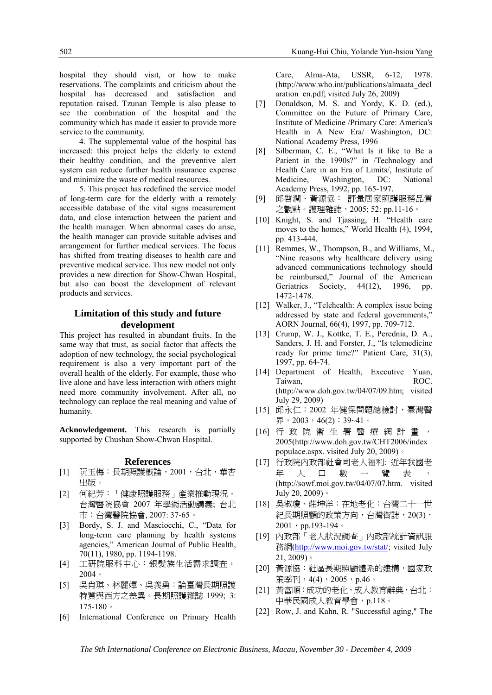hospital they should visit, or how to make reservations. The complaints and criticism about the hospital has decreased and satisfaction and reputation raised. Tzunan Temple is also please to see the combination of the hospital and the community which has made it easier to provide more service to the community.

4. The supplemental value of the hospital has increased: this project helps the elderly to extend their healthy condition, and the preventive alert system can reduce further health insurance expense and minimize the waste of medical resources.

5. This project has redefined the service model of long-term care for the elderly with a remotely accessible database of the vital signs measurement data, and close interaction between the patient and the health manager. When abnormal cases do arise, the health manager can provide suitable advises and arrangement for further medical services. The focus has shifted from treating diseases to health care and preventive medical service. This new model not only provides a new direction for Show-Chwan Hospital, but also can boost the development of relevant products and services.

## **Limitation of this study and future development**

This project has resulted in abundant fruits. In the same way that trust, as social factor that affects the adoption of new technology, the social psychological requirement is also a very important part of the overall health of the elderly. For example, those who live alone and have less interaction with others might need more community involvement. After all, no technology can replace the real meaning and value of humanity.

**Acknowledgement.** This research is partially supported by Chushan Show-Chwan Hospital.

#### **References**

- [1] 阮玉梅:長期照護概論,2001,台北,華杏 出版。
- [2] 何紀芳:「健康照護服務」產業推動現況。 台灣醫院協會 2007 年學術活動講義; 台北 市:台灣醫院協會, 2007: 37-65。
- [3] Bordy, S. J. and Masciocchi, C., "Data for long-term care planning by health systems agencies," American Journal of Public Health, 70(11), 1980, pp. 1194-1198.
- [4] 工研院服科中心:銀髮族生活需求調查, 2004。
- [5] 吳肖琪、林麗嬋、吳義勇:論臺灣長期照護 特質與西方之差異。長期照護雜誌 1999; 3: 175-180。
- [6] International Conference on Primary Health

Care, Alma-Ata, USSR, 6-12, 1978. (http://www.who.int/publications/almaata\_decl aration\_en.pdf; visited July 26, 2009)

- [7] Donaldson, M. S. and Yordy, K. D. (ed.), Committee on the Future of Primary Care, Institute of Medicine /Primary Care: America's Health in A New Era/ Washington, DC: National Academy Press, 1996
- [8] Silberman, C. E., "What Is it like to Be a Patient in the 1990s?" in /Technology and Health Care in an Era of Limits/, Institute of Medicine, Washington, DC: National Academy Press, 1992, pp. 165-197.
- [9] 邱啟潤、黃源協: 評量居家照護服務品質 之觀點。護理雜誌,2005; 52: pp.11-16。
- [10] Knight, S. and Tjassing, H. "Health care moves to the homes," World Health (4), 1994, pp. 413-444.
- [11] Remmes, W., Thompson, B., and Williams, M., "Nine reasons why healthcare delivery using advanced communications technology should be reimbursed," Journal of the American Geriatrics Society, 44(12), 1996, pp. 1472-1478.
- [12] Walker, J., "Telehealth: A complex issue being addressed by state and federal governments, AORN Journal, 66(4), 1997, pp. 709-712.
- [13] Crump, W. J., Kottke, T. E., Perednia, D. A., Sanders, J. H. and Forster, J., "Is telemedicine ready for prime time?" Patient Care, 31(3), 1997, pp. 64-74.
- [14] Department of Health, Executive Yuan, Taiwan, ROC. (http://www.doh.gov.tw/04/07/09.htm; visited July 29, 2009)
- [15] 邱永仁:2002 年健保問題總檢討,臺灣醫 界,2003,46(2):39~41。
- [16] 行政院衛生署醫療網計畫, 2005(http://www.doh.gov.tw/CHT2006/index\_ populace.aspx. visited July 20, 2009)。
- [17] 行政院內政部社會司老人福利: 近年我國老 年人口數一覽表, (http://sowf.moi.gov.tw/04/07/07.htm. visited July 20, 2009)。
- [18] 吳淑瓊、莊坤洋:在地老化:台灣二十一世 紀長期照顧的政策方向,台灣衛誌,20(3),  $2001$ , pp.193-194。
- [19] 內政部「老人狀況調查」內政部統計資訊服 務網(http://www.moi.gov.tw/stat/; visited July 21, 2009)。
- [20] 黃源協:社區長期照顧體系的建構,國家政 策季刊,4(4),2005,p.46。
- [21] 黃富順:成功的老化,成人教育辭典,台北: 中華民國成人教育學會,p.118。
- [22] Row, J. and Kahn, R. "Successful aging," The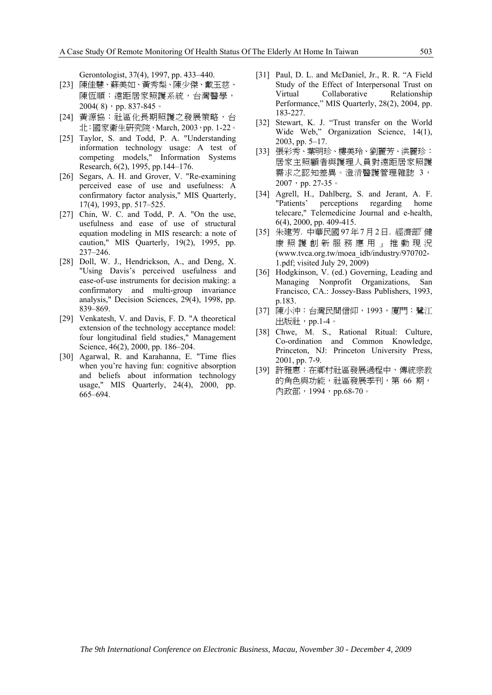Gerontologist, 37(4), 1997, pp. 433–440.

- [23] 陳佳慧、蘇美如、黃秀梨、陳少傑、戴玉慈、 陳恆順:遠距居家照護系統,台灣醫學, 2004(8), pp. 837-845。
- [24] 黃源協: 社區化長期照護之發展策略, 台 北:國家衛生研究院,March, 2003,pp. 1-22。
- [25] Taylor, S. and Todd, P. A. "Understanding information technology usage: A test of competing models," Information Systems Research, 6(2), 1995, pp.144–176.
- [26] Segars, A. H. and Grover, V. "Re-examining perceived ease of use and usefulness: A confirmatory factor analysis," MIS Quarterly, 17(4), 1993, pp. 517–525.
- [27] Chin, W. C. and Todd, P. A. "On the use, usefulness and ease of use of structural equation modeling in MIS research: a note of caution," MIS Quarterly, 19(2), 1995, pp. 237–246.
- [28] Doll, W. J., Hendrickson, A., and Deng, X. "Using Davis's perceived usefulness and ease-of-use instruments for decision making: a confirmatory and multi-group invariance analysis," Decision Sciences, 29(4), 1998, pp. 839–869.
- [29] Venkatesh, V. and Davis, F. D. "A theoretical extension of the technology acceptance model: four longitudinal field studies," Management Science, 46(2), 2000, pp. 186–204.
- [30] Agarwal, R. and Karahanna, E. "Time flies when you're having fun: cognitive absorption and beliefs about information technology usage," MIS Quarterly, 24(4), 2000, pp. 665–694.
- [31] Paul, D. L. and McDaniel, Jr., R. R. "A Field Study of the Effect of Interpersonal Trust on Virtual Collaborative Relationship Performance," MIS Quarterly, 28(2), 2004, pp. 183-227.
- [32] Stewart, K. J. "Trust transfer on the World Wide Web," Organization Science, 14(1), 2003, pp. 5–17.
- [33] 張彩秀、葉明珍、樓美玲、劉麗芳、洪麗珍: 居家主照顧者與護理人員對遠距居家照護 需求之認知差異。澄清醫護管理雜誌 3, 2007, pp. 27-35。
- [34] Agrell, H., Dahlberg, S. and Jerant, A. F. "Patients' perceptions regarding home telecare," Telemedicine Journal and e-health, 6(4), 2000, pp. 409-415.
- [35] 朱建芳. 中華民國97年7月2日. 經濟部「健 康照護創新服務應用」推動現況 (www.tvca.org.tw/moea\_idb/industry/970702- 1.pdf; visited July 29, 2009)
- [36] Hodgkinson, V. (ed.) Governing, Leading and Managing Nonprofit Organizations, San Francisco, CA.: Jossey-Bass Publishers, 1993, p.183.
- [37] 陳小沖:台灣民間信仰,1993,廈門:鷺江 出版社,pp.1-4。
- [38] Chwe, M. S., Rational Ritual: Culture, Co-ordination and Common Knowledge, Princeton, NJ: Princeton University Press, 2001, pp. 7-9.
- [39] 許雅惠:在鄉村社區發展過程中,傳統宗教 的角色與功能,社區發展季刊,第 66 期, 內政部,1994,pp.68-70。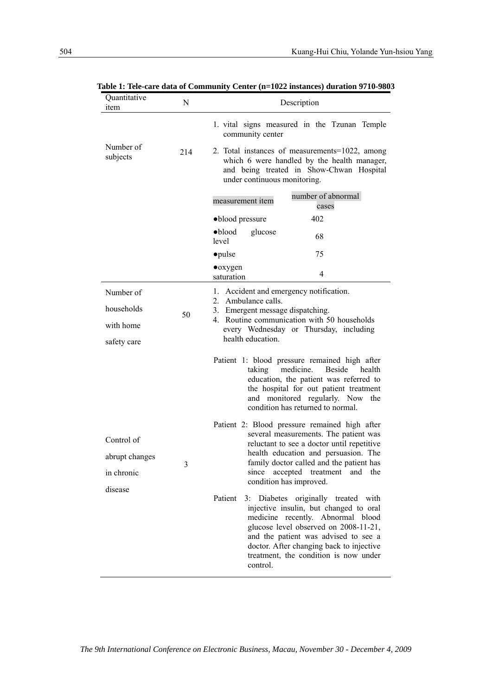| Quantitative<br>item  | N   | Description                                                                                                                                                                                                                                                                                                     |  |  |
|-----------------------|-----|-----------------------------------------------------------------------------------------------------------------------------------------------------------------------------------------------------------------------------------------------------------------------------------------------------------------|--|--|
|                       |     | 1. vital signs measured in the Tzunan Temple<br>community center                                                                                                                                                                                                                                                |  |  |
| Number of<br>subjects | 214 | 2. Total instances of measurements=1022, among<br>which 6 were handled by the health manager,<br>and being treated in Show-Chwan Hospital<br>under continuous monitoring.                                                                                                                                       |  |  |
|                       |     | number of abnormal<br>measurement item<br>cases                                                                                                                                                                                                                                                                 |  |  |
|                       |     | ·blood pressure<br>402                                                                                                                                                                                                                                                                                          |  |  |
|                       |     | $\bullet$ blood<br>glucose<br>68<br>level                                                                                                                                                                                                                                                                       |  |  |
|                       |     | • pulse<br>75                                                                                                                                                                                                                                                                                                   |  |  |
|                       |     | $\bullet$ oxygen<br>4<br>saturation                                                                                                                                                                                                                                                                             |  |  |
| Number of             |     | 1. Accident and emergency notification.<br>Ambulance calls.<br>$2_{-}$<br>3. Emergent message dispatching.<br>4. Routine communication with 50 households<br>every Wednesday or Thursday, including                                                                                                             |  |  |
| households            | 50  |                                                                                                                                                                                                                                                                                                                 |  |  |
| with home             |     |                                                                                                                                                                                                                                                                                                                 |  |  |
| safety care           |     | health education.                                                                                                                                                                                                                                                                                               |  |  |
|                       |     | Patient 1: blood pressure remained high after<br>taking<br>medicine.<br><b>Beside</b><br>health<br>education, the patient was referred to<br>the hospital for out patient treatment<br>and monitored regularly. Now the<br>condition has returned to normal.                                                    |  |  |
|                       |     | Patient 2: Blood pressure remained high after                                                                                                                                                                                                                                                                   |  |  |
| Control of            |     | several measurements. The patient was<br>reluctant to see a doctor until repetitive                                                                                                                                                                                                                             |  |  |
| abrupt changes        | 3   | health education and persuasion. The<br>family doctor called and the patient has<br>accepted<br>treatment<br>and the<br>since<br>condition has improved.                                                                                                                                                        |  |  |
| in chronic            |     |                                                                                                                                                                                                                                                                                                                 |  |  |
| disease               |     | Patient<br>3: Diabetes originally treated with<br>injective insulin, but changed to oral<br>medicine recently. Abnormal blood<br>glucose level observed on 2008-11-21,<br>and the patient was advised to see a<br>doctor. After changing back to injective<br>treatment, the condition is now under<br>control. |  |  |

**Table 1: Tele-care data of Community Center (n=1022 instances) duration 9710-9803**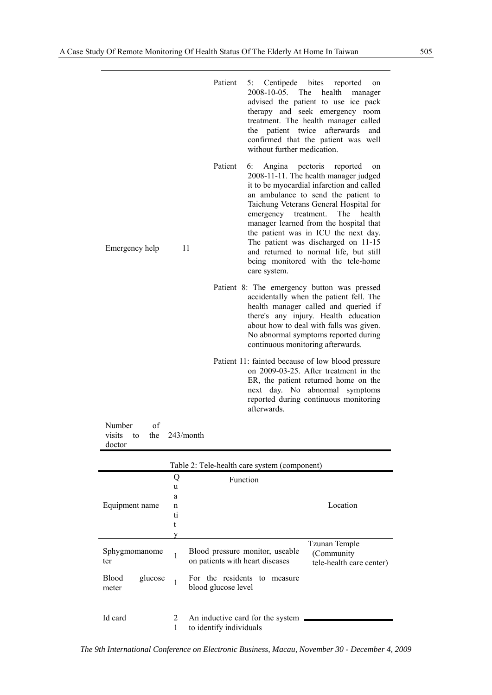|                                                            | Patient<br>5: Centipede bites reported<br>on<br>2008-10-05. The<br>health<br>manager<br>advised the patient to use ice pack<br>therapy and seek emergency room<br>treatment. The health manager called<br>patient twice<br>afterwards<br>the<br>and<br>confirmed that the patient was well<br>without further medication.                                                                                                                                                             |
|------------------------------------------------------------|---------------------------------------------------------------------------------------------------------------------------------------------------------------------------------------------------------------------------------------------------------------------------------------------------------------------------------------------------------------------------------------------------------------------------------------------------------------------------------------|
| 11<br>Emergency help                                       | Patient<br>6:<br>Angina pectoris<br>reported<br>on<br>2008-11-11. The health manager judged<br>it to be myocardial infarction and called<br>an ambulance to send the patient to<br>Taichung Veterans General Hospital for<br>emergency treatment. The health<br>manager learned from the hospital that<br>the patient was in ICU the next day.<br>The patient was discharged on 11-15<br>and returned to normal life, but still<br>being monitored with the tele-home<br>care system. |
|                                                            | Patient 8: The emergency button was pressed<br>accidentally when the patient fell. The<br>health manager called and queried if<br>there's any injury. Health education<br>about how to deal with falls was given.<br>No abnormal symptoms reported during<br>continuous monitoring afterwards.                                                                                                                                                                                        |
|                                                            | Patient 11: fainted because of low blood pressure<br>on 2009-03-25. After treatment in the<br>ER, the patient returned home on the<br>next day. No abnormal symptoms<br>reported during continuous monitoring<br>afterwards.                                                                                                                                                                                                                                                          |
| Number<br>of<br>243/month<br>visits<br>the<br>to<br>doctor |                                                                                                                                                                                                                                                                                                                                                                                                                                                                                       |

| Table 2: Tele-health care system (component) |        |                                                                    |                                                          |  |  |  |
|----------------------------------------------|--------|--------------------------------------------------------------------|----------------------------------------------------------|--|--|--|
|                                              | Q<br>u | Function                                                           |                                                          |  |  |  |
|                                              | a      |                                                                    |                                                          |  |  |  |
| Equipment name                               | n      |                                                                    | Location                                                 |  |  |  |
|                                              | ti     |                                                                    |                                                          |  |  |  |
|                                              |        |                                                                    |                                                          |  |  |  |
|                                              |        |                                                                    |                                                          |  |  |  |
| Sphygmomanome<br>ter                         |        | Blood pressure monitor, useable<br>on patients with heart diseases | Tzunan Temple<br>(Community)<br>tele-health care center) |  |  |  |
| <b>Blood</b><br>glucose<br>meter             |        | For the residents to<br>measure<br>blood glucose level             |                                                          |  |  |  |
| Id card                                      | 2      | An inductive card for the system<br>to identify individuals        |                                                          |  |  |  |